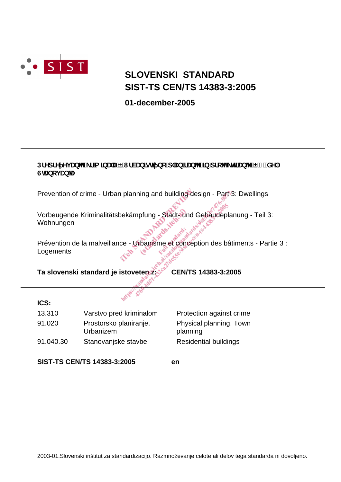

# **SIST-TS CEN/TS 14383-3:2005 SLOVENSKI STANDARD**

**01-december-2005**

## DfYdfY Yj UbY'\_f]a ]bUUËI fVUb]gh bc d'Ub]fUbY']b dfc Y\_hfUbY'Ë" "XY. **GHJbci Ub<sup>U</sup>**

Prevention of cri[me - Urban planning and building design - Part 3: Dwe](�}b;���p�k~9"�o|P��-*�hc}�E"(d%��5E��n�	�˾�[����S,�տ�8Gjv/�U��n���&�>�ҭ{)llings

Vorbeugende Kriminalitätsbekämpfung - Stadt- und Gebäudeplanung - Teil 3: Wohnungen

Prévention de la malveillance - Urbanisme et conception des bâtiments - Partie 3 : **Logements** 

**Ta slovenski standard je istoveten z: CEN/TS 14383-3:2005**

## **ICS:**

| 13.310    | Varstvo pred kriminalom             |
|-----------|-------------------------------------|
| 91.020    | Prostorsko planiranje.<br>Urbanizem |
| 91.040.30 | Stanovaniske stavbe                 |

Residential buildings Physical planning. Town planning Protection against crime

**SIST-TS CEN/TS 14383-3:2005 en**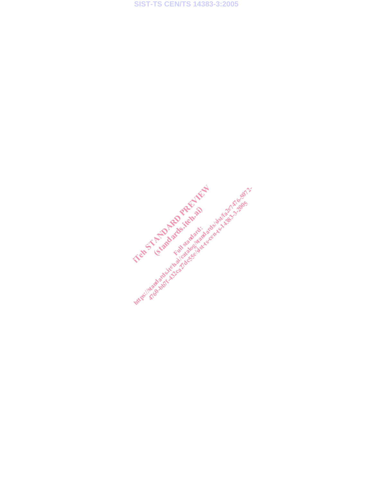International Property of the High And St. A days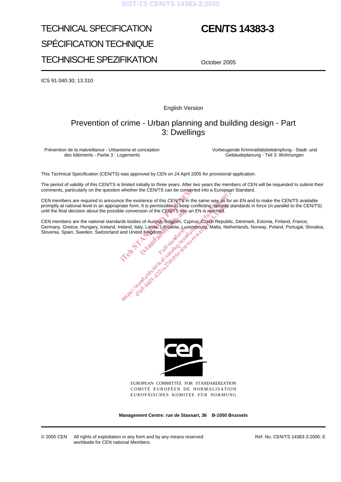#### **SIST-TS CEN/TS 14383-3:2005**

# TECHNICAL SPECIFICATION SPÉCIFICATION TECHNIQUE TECHNISCHE SPEZIFIKATION

## **CEN/TS 14383-3**

October 2005

ICS 91.040.30; 13.310

English Version

## Prevention of crime - Urban planning and building design - Part 3: Dwellings

Prévention de la malveillance - Urbanisme et conception des bâtiments - Partie 3 : Logements

Vorbeugende Kriminalitätsbekämpfung - Stadt- und Gebäudeplanung - Teil 3: Wohnungen

This Technical Specific[ation \(CEN/TS\) was approved by CEN on 24 April 2005 for provisional application](��(
��{���w+���oi����Vr䄁���z4�ΰ�����4���?�~��I�7�
b�ЍN�g�����4��>!0%yW�-5ALv�9��It�c`	4 �f�"�����).

The period of validity of this CEN/TS is limited initially to three years. After two years the members of CEN will be requested to submit their comments, particularly on the question whether the CEN/TS can be converted into a European Standard.

CEN members are required to announce the existence of this CEN/TS in the same way as for an EN and to make the CEN/TS available promptly at national level in an appropriate form. It is permissible to keep conflicting national standards in force (in parallel to the CEN/TS)

until the final decision about the possible conversion of the CEN/TS into an EN is reached.<br>CEN members are the national standards bodies of Austria, Belgium, Cyprus, Czech Repu<br>Germany, Greece, Hungary, Iceland, Iraly, La CEN members are the national standards bodies of Austria, Belgium, Cyprus, Czech Republic, Denmark, Estonia, Finland, France, Germany, Greece, Hungary, Iceland, Ireland, Italy, Latvia, Lithuania, Luxembourg, Malta, Netherlands, Norway, Poland, Portugal, Slovakia, Slovenia, Spain, Sweden, Switzerland and United Kingdom.



EUROPEAN COMMITTEE FOR STANDARDIZATION COMITÉ EUROPÉEN DE NORMALISATION EUROPÄISCHES KOMITEE FÜR NORMUNG

**Management Centre: rue de Stassart, 36 B-1050 Brussels**

© 2005 CEN All rights of exploitation in any form and by any means reserved worldwide for CEN national Members.

Ref. No. CEN/TS 14383-3:2005: E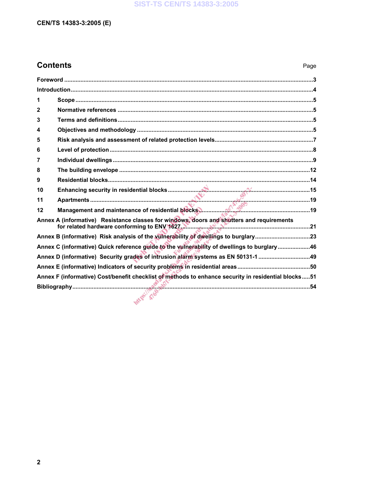## **SIST-TS CEN/TS 14383-3:2005**

## CEN/TS 14383-3:2005 (E)

## **Contents**

| 1                                                                                                                                                                          |  |
|----------------------------------------------------------------------------------------------------------------------------------------------------------------------------|--|
| $\mathbf{2}$                                                                                                                                                               |  |
| 3                                                                                                                                                                          |  |
| 4                                                                                                                                                                          |  |
| 5                                                                                                                                                                          |  |
| 6                                                                                                                                                                          |  |
| 7                                                                                                                                                                          |  |
| 8                                                                                                                                                                          |  |
| 9                                                                                                                                                                          |  |
| 10                                                                                                                                                                         |  |
| 11                                                                                                                                                                         |  |
| 12                                                                                                                                                                         |  |
| Annex A (informative) Resistance classes for windows, doors and shutters and requirements<br>for related hardware conforming to ENV 1627. Manuscription Manuscritti and 21 |  |
| Annex B (informative) Risk analysis of the vulnerability of dwellings to burglary23                                                                                        |  |
|                                                                                                                                                                            |  |
| Annex C (informative) Quick reference guide to the vulnerability of dwellings to burglary46                                                                                |  |
| Annex D (informative) Security grades of intrusion alarm systems as EN 50131-1 49                                                                                          |  |
|                                                                                                                                                                            |  |
| Annex F (informative) Cost/benefit checklist of methods to enhance security in residential blocks51                                                                        |  |
|                                                                                                                                                                            |  |
|                                                                                                                                                                            |  |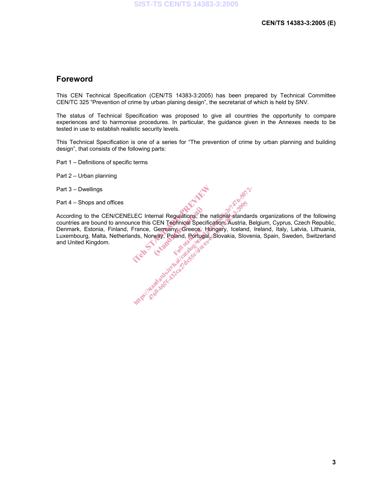### **Foreword**

This CEN Technical Specification (CEN/TS 14383-3:2005) has been prepared by Technical Committee CEN/TC 325 "Prevention of crime by urban planing design", the secretariat of which is held by SNV.

The status of Technical Specification was proposed to give all countries the opportunity to compare experiences and to harmonise procedures. In particular, the guidance given in the Annexes needs to be tested in use to establish realistic security levels.

This Technical Specification is one of a series for "The prevention of crime by urban planning and building design", that consists of the following parts:

- Part 1 Definitions of specific terms
- Part 2 Urban planning
- Part 3 Dwellings
- Part 4 Shops and offices

According to the [CEN/CENELEC Internal Regulations, the national standards organ](6�g�h
�u����)8�z�,n����+=��;�z4>�UQ�p�/8(g�ƥyXdU���lN�63�$ґ*�Ć��� ���N#K�g����?��
����nq��̿�[�W��_P)izations of the following countries are bound to announce this CEN Technical Specification: Austria, Belgium, Cyprus, Czech Republic, Denmark, countries are bound to announce this CEN Technical Specification: Austria, Belgium, Cyprus, Czech Republic, Denmark, Estonia, Finland, France, Germany, Greece, Hungary, Iceland, Ireland, Italy, Latvia, Lithuania, Luxembourg, Malta, Netherlands, Norway, Poland, Portugal, Slovakia, Slovenia, Spain, Sweden, Switzerland and United Kingdom.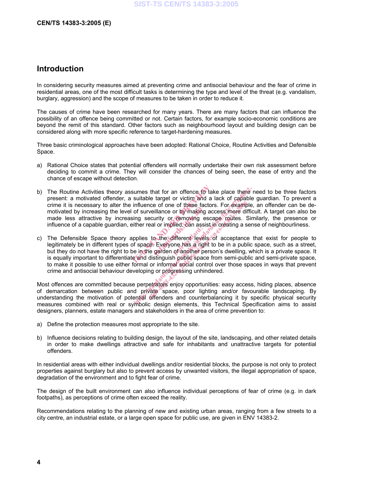## **Introduction**

In considering security measures aimed at preventing crime and antisocial behaviour and the fear of crime in residential areas, one of the most difficult tasks is determining the type and level of the threat (e.g. vandalism, burglary, aggression) and the scope of measures to be taken in order to reduce it.

The causes of crime have been researched for many years. There are many factors that can influence the possibility of an offence being committed or not. Certain factors, for example socio-economic conditions are beyond the remit of this standard. Other factors such as neighbourhood layout and building design can be considered along with more specific reference to target-hardening measures.

Three basic criminological approaches have been adopted: Rational Choice, Routine Activities and Defensible Space.

- a) Rational Choice states that potential offenders will normally undertake their own risk assessment before deciding to commit [a crime. They will consider the chances of being seen, the ease](��ǌ"��4E�K]�-Zd$����NY�~��(!�) of entry and the chance of escape without detection.
- b) The Routine Activities theory assumes that for an offence to take place there need to be three factors present: a motivated offender, a suitable target or victim and a lack of capable guardian. To prevent a crime it is necessary to alter the influence of one of these factors. For example, an offender can be demotivated by increasing the level of surveillance or by making access more difficult. A target can also be made less attractive by increasing security or removing escape routes. Similarly, the presence or influence of a capable guardian, either real or implied, can assist in creating a sense of neighbourliness.
- c) The Defensible Space theory applies to the different levels of acceptance that exist for people to legitimately be in different types of space. Everyone has a right to be in a public space, such as a street, but they do not have the right to be in the garden of another person's dwelling, which is a private space. It is equally important to differentiate and distinguish public space from semi-public and semi-private space, to make it possible to use either formal or informal social control over those spaces in ways that prevent crime and antisocial behaviour developing or progressing unhindered.

Most offences are committed because perpetrators enjoy opportunities: easy access, hiding places, absence of demarcation between public and private space, poor lighting and/or favourable landscaping. By understanding the motivation of potential offenders and counterbalancing it by specific physical security measures combined with real or symbolic design elements, this Technical Specification aims to assist designers, planners, estate managers and stakeholders in the area of crime prevention to:

- a) Define the protection measures most appropriate to the site.
- b) Influence decisions relating to building design, the layout of the site, landscaping, and other related details in order to make dwellings attractive and safe for inhabitants and unattractive targets for potential offenders.

In residential areas with either individual dwellings and/or residential blocks, the purpose is not only to protect properties against burglary but also to prevent access by unwanted visitors, the illegal appropriation of space, degradation of the environment and to fight fear of crime.

The design of the built environment can also influence individual perceptions of fear of crime (e.g. in dark footpaths), as perceptions of crime often exceed the reality.

Recommendations relating to the planning of new and existing urban areas, ranging from a few streets to a city centre, an industrial estate, or a large open space for public use, are given in ENV 14383-2.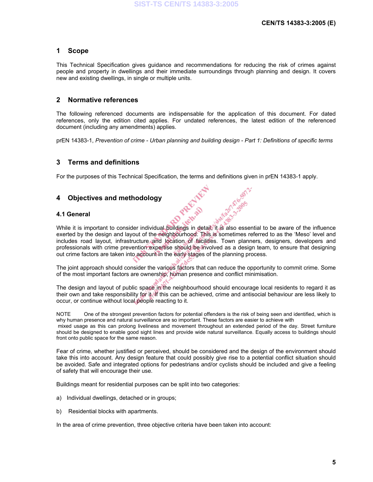#### **1 Scope**

This Technical Specification gives guidance and recommendations for reducing the risk of crimes against people and property in dwellings and their immediate surroundings through planning and design. It covers new and existing dwellings, in single or multiple units.

#### **2 Normative references**

The following referenced documents are indispensable for the application of this document. For dated references, only the edition cited applies. For undated references, the latest edition of the referenced document (including any amendments) applies.

prEN 14383-1, *Prevention of crime - Urban planning and building design - Part 1: Definitions of specific terms*

#### **3 Terms and definitions**

For the purposes [of this Technical Specification, the terms and definitions given in prE](��q�1�sB�ս
�ї6�J�v���/�z;="�3�=4`�؆�cč<�],P�E�V�@<s���\I�NpL-�����biu@���* !���Zy��	�)���t�=d`9��R�)N 14383-1 apply.

#### **4 Objectives and methodology**

#### **4.1 General**

While it is important to consider individual buildings in detail, it is also essential to be aware of the influence exerted by the design and layout of the neighbourhood. This is sometimes referred to as the 'Meso' level and includes road layout, infrastructure and location of facilities. Town planners, designers, developers and professionals with crime prevention expertise should be involved as a design team, to ensure that designing out crime factors are taken into account in the early stages of the planning process.

The joint approach should consider the various factors that can reduce the opportunity to commit crime. Some of the most important factors are ownership, human presence and conflict minimisation.

The design and layout of public space in the neighbourhood should encourage local residents to regard it as their own and take responsibility for it. If this can be achieved, crime and antisocial behaviour are less likely to occur, or continue without local people reacting to it.

NOTE One of the strongest prevention factors for potential offenders is the risk of being seen and identified, which is why human presence and natural surveillance are so important. These factors are easier to achieve with mixed usage as this can prolong liveliness and movement throughout an extended period of the day. Street furniture should be designed to enable good sight lines and provide wide natural surveillance. Equally access to buildings should front onto public space for the same reason.

Fear of crime, whether justified or perceived, should be considered and the design of the environment should take this into account. Any design feature that could possibly give rise to a potential conflict situation should be avoided. Safe and integrated options for pedestrians and/or cyclists should be included and give a feeling of safety that will encourage their use.

Buildings meant for residential purposes can be split into two categories:

- a) Individual dwellings, detached or in groups;
- b) Residential blocks with apartments.

In the area of crime prevention, three objective criteria have been taken into account: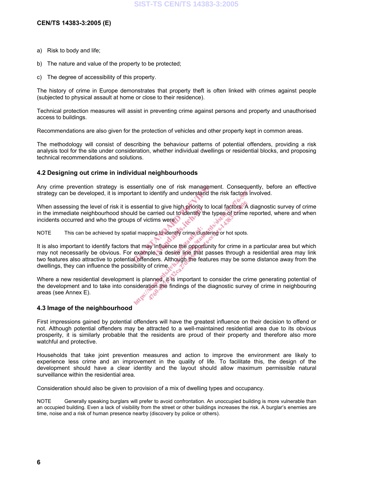#### **CEN/TS 14383-3:2005 (E)**

- a) Risk to body and life;
- b) The nature and value of the property to be protected;
- c) The degree of accessibility of this property.

The history of crime in Europe demonstrates that property theft is often linked with crimes against people (subjected to physical assault at home or close to their residence).

Technical protection measures will assist in preventing crime against persons and property and unauthorised access to buildings.

Recommendations are also given for the protection of vehicles and other property kept in common areas.

The methodology will consist of describing the behaviour patterns of potential offenders, providing a risk analysis tool for the site under consideration, whether individual dwellings or residential blocks, and proposing technical recommendations and solutions.

#### **4.2 Designing out crime in individual neighbourhoods**

Any crime prevention s[trategy is essentially one of risk management. Consequently, bef](��2�5�:V�u�j���"�)�G�l�D�qƅ6�3��@���E��mK�L�:K��5�Th�͔q�\QÒ^J�o��O��:�Q(�:�4��v1�ۣ"��Ucn݋)ore an effective strategy can be developed, it is important to identify and understand the risk factors involved.

When assessing the level of risk it is essential to give high priority to local factors. A diagnostic survey of crime in the immediate neighbourhood should be carried out to identify the types of crime reported, where and when incidents occurred and who the groups of victims were.

NOTE This can be achieved by spatial mapping to identify crime clustering or hot spots.

It is also important to identify factors that may influence the opportunity for crime in a particular area but which may not necessarily be obvious. For example, a desire line that passes through a residential area may link two features also attractive to potential offenders. Although the features may be some distance away from the dwellings, they can influence the possibility of crime.

Where a new residential development is planned, it is important to consider the crime generating potential of the development and to take into consideration the findings of the diagnostic survey of crime in neighbouring areas (see Annex E). areas (see Annex E).

#### **4.3 Image of the neighbourhood**

First impressions gained by potential offenders will have the greatest influence on their decision to offend or not. Although potential offenders may be attracted to a well-maintained residential area due to its obvious prosperity, it is similarly probable that the residents are proud of their property and therefore also more watchful and protective.

Households that take joint prevention measures and action to improve the environment are likely to experience less crime and an improvement in the quality of life. To facilitate this, the design of the development should have a clear identity and the layout should allow maximum permissible natural surveillance within the residential area.

Consideration should also be given to provision of a mix of dwelling types and occupancy.

NOTE Generally speaking burglars will prefer to avoid confrontation. An unoccupied building is more vulnerable than an occupied building. Even a lack of visibility from the street or other buildings increases the risk. A burglar's enemies are time, noise and a risk of human presence nearby (discovery by police or others).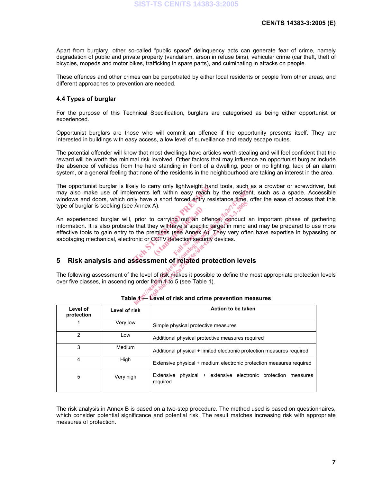Apart from burglary, other so-called "public space" delinquency acts can generate fear of crime, namely degradation of public and private property (vandalism, arson in refuse bins), vehicular crime (car theft, theft of bicycles, mopeds and motor bikes, trafficking in spare parts), and culminating in attacks on people.

These offences and other crimes can be perpetrated by either local residents or people from other areas, and different approaches to prevention are needed.

#### **4.4 Types of burglar**

For the purpose of this Technical Specification, burglars are categorised as being either opportunist or experienced.

Opportunist burglars are those who will commit an offence if the opportunity presents itself. They are interested in buildings with easy access, a low level of surveillance and ready escape routes.

The potential offender will know that most dwellings have articles worth stealing and will feel confident that the reward will be worth the minimal risk involved. Other factors that may influence an opportunist burglar include the absence of vehicles from the hard standing in front of a dwelling, poor or no lighting, lack of an alarm system, or a general feeling that none of the residents in the neighbourhood are taking an interest in the area.

The opportunist burglar is likely to carry only lightweight hand tools, such as a crowbar or screwdriver, but may also make use of implements left within easy reach by the resident, such as a spade. Accessible windows and doors, which only have a short forced entry resistance time, offer the ease of access that this type of burglar is seeking (see Annex A).

An experienced burglar will, prior to carrying out an offence, conduct an important phase of gathering information. It is also probable that they will have a specific target in mind and may be prepared to use more effective tools to gain entry to the premises (see Annex A). They very often have expertise in bypassing or sabotaging mechanical, electronic or CCTV detection security devices.<br>And the security devices.

#### **5 Risk anal[ysis and assessment of related protection levels]()Y\[�f�xi��b38� �H��?�E� ׯ����f��c�Yq�9��x����`V�� �T}M{���� �(��C@ bִ;�}��uS*�7:v���T1H4I���k
�)**

**APAX** 

The following assessment of the level of risk makes it possible to define the most appropriate protection levels over five classes, in ascending order from 1 to 5 (see Table 1).

| Level of<br>protection | Level of risk | Action to be taken                                                              |  |  |  |  |  |
|------------------------|---------------|---------------------------------------------------------------------------------|--|--|--|--|--|
|                        | Very low      | Simple physical protective measures                                             |  |  |  |  |  |
| $\mathfrak{p}$         | Low           | Additional physical protective measures required                                |  |  |  |  |  |
| 3                      | Medium        | Additional physical + limited electronic protection measures required           |  |  |  |  |  |
| 4                      | High          | Extensive physical + medium electronic protection measures required             |  |  |  |  |  |
| 5                      | Very high     | Extensive<br>physical + extensive electronic protection<br>measures<br>required |  |  |  |  |  |

|  |  |  | Table 1- Level of risk and crime prevention measures |  |
|--|--|--|------------------------------------------------------|--|

The risk analysis in Annex B is based on a two-step procedure. The method used is based on questionnaires, which consider potential significance and potential risk. The result matches increasing risk with appropriate measures of protection.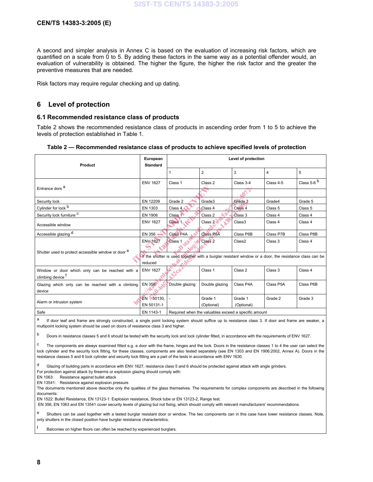A second and simpler analysis in Annex C is based on the evaluation of increasing risk factors, which are quantified on a scale from  $\dot{0}$  to 5. By adding these factors in the same way as a potential offender would, an evaluation of vulnerability is obtained. The higher the figure, the higher the risk factor and the greater the preventive measures that are needed.

Risk factors may require regular checking and up dating.

#### **6 Level of protection**

#### **6.1 Recommended resistance class of products**

Table 2 shows the recommended resistance class of products in ascending order from 1 to 5 to achieve the levels of protection established in Table 1.

| Table 2 — Recommended resistance class of products to achieve specified levels of protection |
|----------------------------------------------------------------------------------------------|
|----------------------------------------------------------------------------------------------|

| Product                                                                         | European<br><b>Standard</b>                                                                                       | Level of protection                                  |                       |                       |           |             |  |  |  |
|---------------------------------------------------------------------------------|-------------------------------------------------------------------------------------------------------------------|------------------------------------------------------|-----------------------|-----------------------|-----------|-------------|--|--|--|
|                                                                                 |                                                                                                                   |                                                      | $\overline{2}$        | 3                     | 4         | 5           |  |  |  |
| Entrance dors a                                                                 | <b>ENV 1627</b>                                                                                                   | Class 1                                              | Class 2               | Class 3-4             | Class 4-5 | Class 5-6 b |  |  |  |
|                                                                                 |                                                                                                                   |                                                      |                       |                       |           |             |  |  |  |
| Security lock                                                                   | EN 12209                                                                                                          | Grade 2                                              | Grade3                | Grade 3               | Grade4    | Grade 5     |  |  |  |
| Cylinder for lock b                                                             | EN 1303                                                                                                           | Class 4                                              | Class 4               | Class <sub>4</sub>    | Class 5   | Class 5     |  |  |  |
| Security lock furniture C                                                       | <b>EN 1906</b>                                                                                                    | Class <sub>1</sub>                                   | Class 2               | Class 3               | Class 4   | Class 4     |  |  |  |
| Accessible window                                                               | <b>ENV 1627</b>                                                                                                   | Class <sub>1</sub>                                   | Class 2               | Class3                | Class 4   | Class 4     |  |  |  |
| Accessible glazing d                                                            | EN 356                                                                                                            | Class P4A                                            | <b>Class P5A</b>      | Class P6B             | Class P7B | Class P8B   |  |  |  |
|                                                                                 | <b>ENV 1627</b>                                                                                                   | Class 1                                              | Class <sub>2</sub>    | Class <sub>2</sub>    | Class 3   | Class 4     |  |  |  |
| Shutter used to protect accessible window or door <sup>e</sup>                  | If the shutter is used together with a burglar resistant window or a door, the resistance class can be<br>reduced |                                                      |                       |                       |           |             |  |  |  |
| Window or door which only can be reached with a<br>climbing device <sup>T</sup> | <b>ENV 1627</b>                                                                                                   | \$.<br><b>COLL</b>                                   | Class 1               | Class 2               | Class 3   | Class 4     |  |  |  |
| Glazing which only can be reached with a climbing<br>device                     | EN 356                                                                                                            | Double glazing                                       | Double glazing        | Class P4A             | Class P5A | Class P6B   |  |  |  |
| Alarm or intrusion system                                                       | EN 50130,<br>EN 50131-1                                                                                           |                                                      | Grade 1<br>(Optional) | Grade 1<br>(Optional) | Grade 2   | Grade 3     |  |  |  |
| Safe                                                                            | EN 1143-1                                                                                                         | Required when the valuables exceed a specific amount |                       |                       |           |             |  |  |  |

<sup>a</sup> If door leaf and frame are strongly constructed, a single point locking system should suffice up to resistance class 3. If door and frame are weaker, a multipoint locking system should be used on doors of resistance class 3 and higher.

<sup>b</sup> Doors in resistance classes 5 and 6 should be tested with the security lock and lock cylinder fitted, in accordance with the requirements of ENV 1627.

The components are always examined fitted e.g. a door with the frame, hinges and the lock. Doors in the resistance classes 1 to 4 the user can select the lock cylinder and the security lock fitting, for these classes, components are also tested separately (see EN 1303 and EN 1906:2002, Annex A). Doors in the resistance classes 5 and 6 lock cylinder and security lock fitting are a part of the tests in accordance with ENV 1630.

d Glazing of building parts in accordance with ENV 1627, resistance class 5 and 6 should be protected against attack with angle grinders. For protection against attack by firearms or explosion glazing should comply with:

EN 1063: Resistance against bullet attack

EN 13541: Resistance against explosion pressure

The documents mentioned above describe only the qualities of the glass themselves. The requirements for complex components are described in the following documents:

EN 1522: Bullet Resistance, EN 13123-1: Explosion resistance, Shock tube or EN 13123-2, Range test.

EN 356, EN 1063 and EN 13541 cover security levels of glazing but not fixing, which should comply with relevant manufacturers' recommendations.

e Shutters can be used together with a tested burglar resistant door or window. The two components can in this case have lower resistance classes. Note, only shutters in the closed position have burglar resistance characteristics.

Balconies on higher floors can often be reached by experienced burglars.

f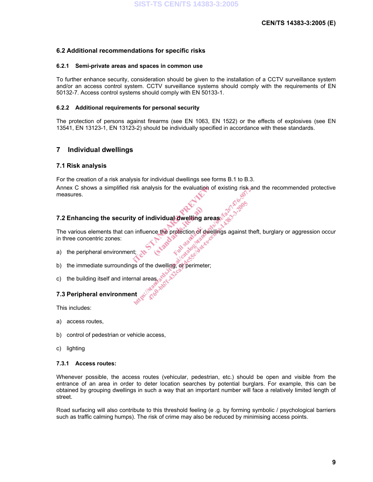#### **6.2 Additional recommendations for specific risks**

#### **6.2.1 Semi-private areas and spaces in common use**

To further enhance security, consideration should be given to the installation of a CCTV surveillance system and/or an access control system. CCTV surveillance systems should comply with the requirements of EN 50132-7. Access control systems should comply with EN 50133-1.

#### **6.2.2 Additional requirements for personal security**

The protection of persons against firearms (see EN 1063, EN 1522) or the effects of explosives (see EN 13541, EN 13123-1, EN 13123-2) should be individually specified in accordance with these standards.

#### **7 Individual dwellings**

#### **7.1 Risk analysis**

For the creation of a risk analysis for individual dwellings see forms B.1 to B.3. Annex C shows [a simplified risk analysis for the evaluation of existing risk and the r](Noϱ� \#����U:�h!��<�¶�����@�&*��,j����o{��ɚrKaLi�L�(���)ecommended protective measures.

# **7.2 Enhancing the security of individual dwelling areas**

The various elements that can influence the protection of dwellings against theft, burglary or aggression occur in three concentric zones: **Principal** 

- a) the peripheral environment;
- b) the immediate surroundings of the dwelling, or perimeter;
- c) the building itself and internal areas.

#### **7.3 Peripheral environment**

This includes:

- a) access routes,
- b) control of pedestrian or vehicle access,
- c) lighting

#### **7.3.1 Access routes:**

Whenever possible, the access routes (vehicular, pedestrian, etc.) should be open and visible from the entrance of an area in order to deter location searches by potential burglars. For example, this can be obtained by grouping dwellings in such a way that an important number will face a relatively limited length of street.

Road surfacing will also contribute to this threshold feeling (e .g. by forming symbolic / psychological barriers such as traffic calming humps). The risk of crime may also be reduced by minimising access points.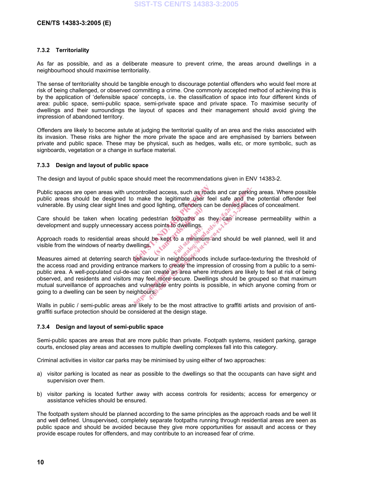#### **CEN/TS 14383-3:2005 (E)**

#### **7.3.2 Territoriality**

As far as possible, and as a deliberate measure to prevent crime, the areas around dwellings in a neighbourhood should maximise territoriality.

The sense of territoriality should be tangible enough to discourage potential offenders who would feel more at risk of being challenged, or observed committing a crime. One commonly accepted method of achieving this is by the application of 'defensible space' concepts, i.e. the classification of space into four different kinds of area: public space, semi-public space, semi-private space and private space. To maximise security of dwellings and their surroundings the layout of spaces and their management should avoid giving the impression of abandoned territory.

Offenders are likely to become astute at judging the territorial quality of an area and the risks associated with its invasion. These risks are higher the more private the space and are emphasised by barriers between private and public space. These may be physical, such as hedges, walls etc, or more symbolic, such as signboards, vegetation or a change in surface material.

#### **7.3.3 Design and layout of public space**

The design and layout of [public space should meet the recommendations given in ENV 14383](��.aN.�G;s�s�J�&$q*�1�9:�?�Z��g�T�v�;���Y�p`��ր͚���[
n1�fゆu�k��"\��)-2.

Public spaces are open areas with uncontrolled access, such as roads and car parking areas. Where possible public areas should be designed to make the legitimate user feel safe and the potential offender feel vulnerable. By using clear sight lines and good lighting, offenders can be denied places of concealment.

Care should be taken when locating pedestrian footpaths as they can increase permeability within a development and supply unnecessary access points to dwellings.

Approach roads to residential areas should be kept to a minimum and should be well planned, well lit and visible from the windows of nearby dwellings.

Measures aimed at deterring search behaviour in neighbourhoods include surface-texturing the threshold of the access road and providing entrance markers to create the impression of crossing from a public to a semipublic area. A well-populated cul-de-sac can create an area where intruders are likely to feel at risk of being observed, and residents and visitors may feel more secure. Dwellings should be grouped so that maximum mutual surveillance of approaches and vulnerable entry points is possible, in which anyone coming from or going to a dwelling can be seen by neighbours.

Walls in public / semi-public areas are likely to be the most attractive to graffiti artists and provision of antigraffiti surface protection should be considered at the design stage.

#### **7.3.4 Design and layout of semi-public space**

Semi-public spaces are areas that are more public than private. Footpath systems, resident parking, garage courts, enclosed play areas and accesses to multiple dwelling complexes fall into this category.

Criminal activities in visitor car parks may be minimised by using either of two approaches:

- a) visitor parking is located as near as possible to the dwellings so that the occupants can have sight and supervision over them.
- b) visitor parking is located further away with access controls for residents; access for emergency or assistance vehicles should be ensured.

The footpath system should be planned according to the same principles as the approach roads and be well lit and well defined. Unsupervised, completely separate footpaths running through residential areas are seen as public space and should be avoided because they give more opportunities for assault and access or they provide escape routes for offenders, and may contribute to an increased fear of crime.